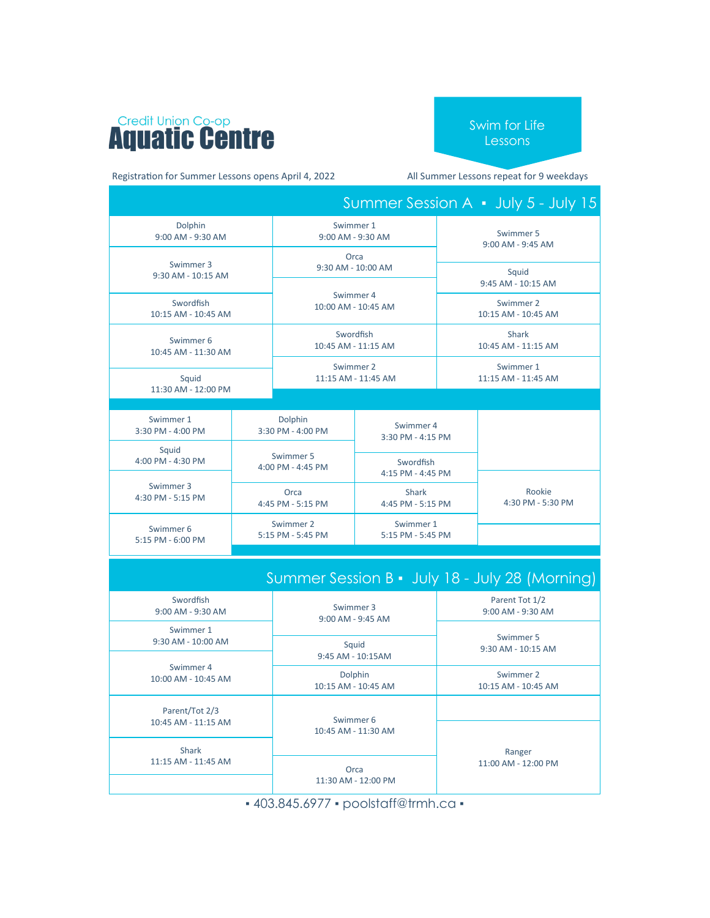

Lessons

Swim for Life

Registration for Summer Lessons opens April 4, 2022 All Summer Lessons repeat for 9 weekdays

|                                  |                                |                                  |                                                        |                                    | Summer Session A • July 5 - July 15 |
|----------------------------------|--------------------------------|----------------------------------|--------------------------------------------------------|------------------------------------|-------------------------------------|
| Dolphin<br>9:00 AM - 9:30 AM     |                                | Swimmer 1<br>9:00 AM - 9:30 AM   |                                                        | Swimmer 5<br>$9:00$ AM - $9:45$ AM |                                     |
| Swimmer 3<br>9:30 AM - 10:15 AM  |                                | Orca<br>$9:30$ AM - $10:00$ AM   |                                                        | Squid<br>9:45 AM - 10:15 AM        |                                     |
| Swordfish<br>10:15 AM - 10:45 AM |                                | Swimmer 4<br>10:00 AM - 10:45 AM |                                                        | Swimmer 2<br>10:15 AM - 10:45 AM   |                                     |
| Swimmer 6<br>10:45 AM - 11:30 AM |                                | Swordfish<br>10:45 AM - 11:15 AM |                                                        | Shark<br>10:45 AM - 11:15 AM       |                                     |
| Squid<br>11:30 AM - 12:00 PM     |                                | Swimmer 2<br>11:15 AM - 11:45 AM |                                                        | Swimmer 1<br>11:15 AM - 11:45 AM   |                                     |
|                                  |                                |                                  |                                                        |                                    |                                     |
| Swimmer 1<br>3:30 PM - 4:00 PM   |                                | Dolphin<br>3:30 PM - 4:00 PM     | Swimmer 4<br>3:30 PM - 4:15 PM                         |                                    |                                     |
| Squid<br>4:00 PM - 4:30 PM       | Swimmer 5<br>4:00 PM - 4:45 PM |                                  | Swordfish                                              |                                    |                                     |
| Swimmer 3<br>4:30 PM - 5:15 PM   |                                | Orca<br>4:45 PM - 5:15 PM        | 4:15 PM - 4:45 PM<br><b>Shark</b><br>4:45 PM - 5:15 PM |                                    | Rookie<br>4:30 PM - 5:30 PM         |
| Swimmer 6<br>5:15 PM - 6:00 PM   | Swimmer 2<br>5:15 PM - 5:45 PM |                                  | Swimmer 1<br>5:15 PM - 5:45 PM                         |                                    |                                     |
|                                  |                                |                                  |                                                        |                                    |                                     |

| Summer Session B = July 18 - July 28 (Morning) |  |  |  |  |
|------------------------------------------------|--|--|--|--|
|------------------------------------------------|--|--|--|--|

| Swordfish<br>9:00 AM - 9:30 AM        | Swimmer 3<br>$9:00$ AM - $9:45$ AM | Parent Tot 1/2<br>9:00 AM - 9:30 AM |  |
|---------------------------------------|------------------------------------|-------------------------------------|--|
| Swimmer 1<br>9:30 AM - 10:00 AM       | Squid                              | Swimmer 5<br>9:30 AM - 10:15 AM     |  |
| Swimmer 4<br>10:00 AM - 10:45 AM      | 9:45 AM - 10:15AM                  |                                     |  |
|                                       | Dolphin<br>10:15 AM - 10:45 AM     | Swimmer 2<br>10:15 AM - 10:45 AM    |  |
| Parent/Tot 2/3<br>10:45 AM - 11:15 AM | Swimmer 6                          |                                     |  |
|                                       | 10:45 AM - 11:30 AM                |                                     |  |
| <b>Shark</b><br>11:15 AM - 11:45 AM   |                                    | Ranger                              |  |
|                                       | Orca                               | 11:00 AM - 12:00 PM                 |  |
|                                       | 11:30 AM - 12:00 PM                |                                     |  |

▪ 403.845.6977 ▪ poolstaff@trmh.ca ▪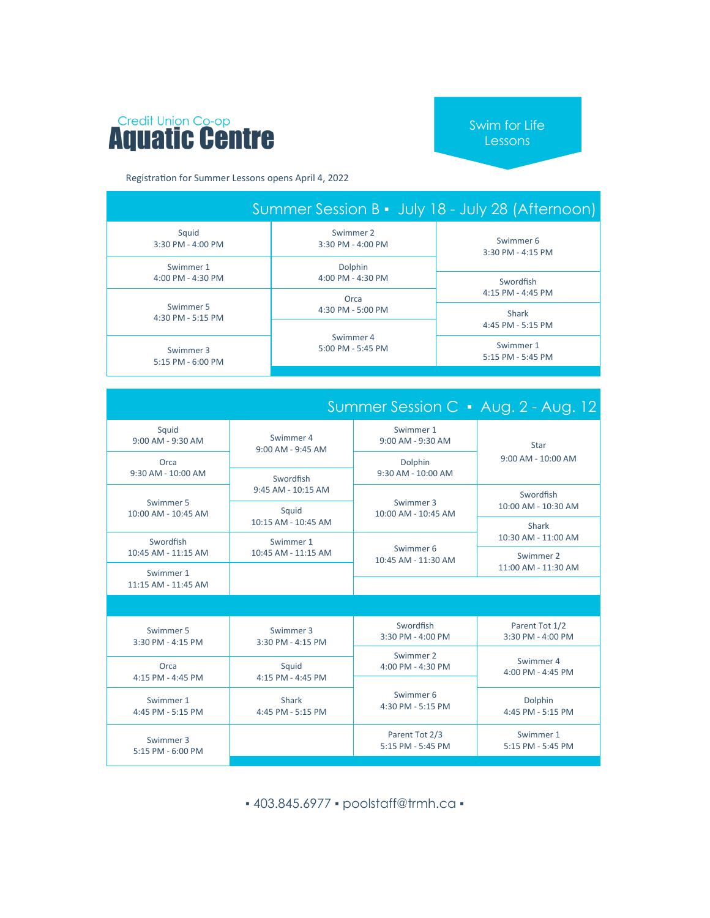

Swim for Life Lessons

Registration for Summer Lessons opens April 4, 2022

|                                    |                                | Summer Session B - July 18 - July 28 (Afternoon) |  |
|------------------------------------|--------------------------------|--------------------------------------------------|--|
| Squid<br>3:30 PM - 4:00 PM         | Swimmer 2<br>3:30 PM - 4:00 PM | Swimmer 6<br>3:30 PM - 4:15 PM                   |  |
| Swimmer 1                          | Dolphin                        |                                                  |  |
| 4:00 PM - 4:30 PM                  | 4:00 PM - 4:30 PM              | Swordfish                                        |  |
| Swimmer 5<br>4:30 PM - 5:15 PM     | Orca                           | 4:15 PM - 4:45 PM                                |  |
|                                    | 4:30 PM - 5:00 PM              | Shark                                            |  |
|                                    |                                | 4:45 PM - 5:15 PM                                |  |
| Swimmer 3<br>$5:15$ PM - $6:00$ PM | Swimmer 4<br>5:00 PM - 5:45 PM | Swimmer 1<br>5:15 PM - 5:45 PM                   |  |
|                                    |                                |                                                  |  |

|                                  |                             | Summer Session C • Aug. 2 - Aug. 12 |                                  |  |
|----------------------------------|-----------------------------|-------------------------------------|----------------------------------|--|
| Squid                            | Swimmer 4                   | Swimmer 1                           | Star                             |  |
| 9:00 AM - 9:30 AM                | $9:00$ AM - $9:45$ AM       | 9:00 AM - 9:30 AM                   |                                  |  |
| Orca<br>9:30 AM - 10:00 AM       | Swordfish                   | Dolphin<br>9:30 AM - 10:00 AM       | $9:00$ AM - $10:00$ AM           |  |
| Swimmer 5                        | 9:45 AM - 10:15 AM<br>Squid | Swimmer 3                           | Swordfish<br>10:00 AM - 10:30 AM |  |
| 10:00 AM - 10:45 AM              | 10:15 AM - 10:45 AM         | 10:00 AM - 10:45 AM                 | Shark                            |  |
| Swordfish                        | Swimmer 1                   |                                     | 10:30 AM - 11:00 AM              |  |
| 10:45 AM - 11:15 AM              | 10:45 AM - 11:15 AM         | Swimmer 6<br>10:45 AM - 11:30 AM    | Swimmer 2<br>11:00 AM - 11:30 AM |  |
| Swimmer 1<br>11:15 AM - 11:45 AM |                             |                                     |                                  |  |
|                                  |                             |                                     |                                  |  |
| Swimmer 5                        | Swimmer 3                   | Swordfish                           | Parent Tot 1/2                   |  |
| 3:30 PM - 4:15 PM                | 3:30 PM - 4:15 PM           | 3:30 PM - 4:00 PM                   | 3:30 PM - 4:00 PM                |  |
| Orca                             | Squid                       | Swimmer 2                           | Swimmer 4                        |  |
| 4:15 PM - 4:45 PM                | 4:15 PM - 4:45 PM           | 4:00 PM - 4:30 PM                   | 4:00 PM - 4:45 PM                |  |
| Swimmer 1                        | Shark                       | Swimmer 6                           | Dolphin                          |  |
| 4:45 PM - 5:15 PM                | 4:45 PM - 5:15 PM           | 4:30 PM - 5:15 PM                   | 4:45 PM - 5:15 PM                |  |
| Swimmer 3                        |                             | Parent Tot 2/3                      | Swimmer 1                        |  |
| 5:15 PM - 6:00 PM                |                             | 5:15 PM - 5:45 PM                   | 5:15 PM - 5:45 PM                |  |

▪ 403.845.6977 ▪ poolstaff@trmh.ca ▪